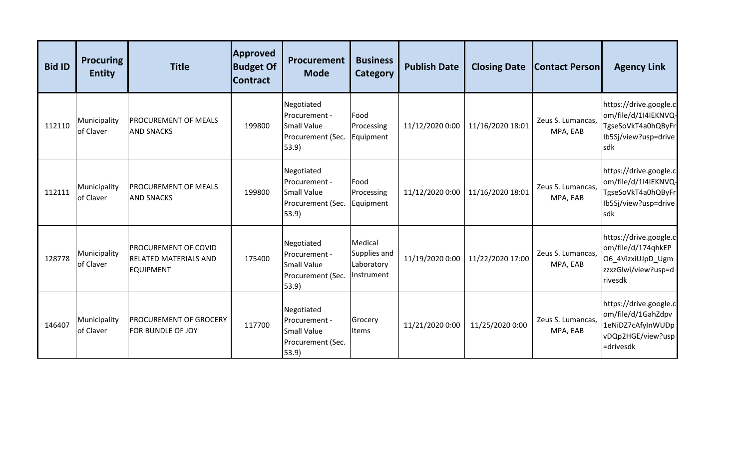| <b>Bid ID</b> | <b>Procuring</b><br><b>Entity</b> | <b>Title</b>                                                             | <b>Approved</b><br><b>Budget Of</b><br><b>Contract</b> | <b>Procurement</b><br><b>Mode</b>                                               | <b>Business</b><br>Category                         | <b>Publish Date</b> | <b>Closing Date</b> | <b>Contact Person</b>         | <b>Agency Link</b>                                                                                   |
|---------------|-----------------------------------|--------------------------------------------------------------------------|--------------------------------------------------------|---------------------------------------------------------------------------------|-----------------------------------------------------|---------------------|---------------------|-------------------------------|------------------------------------------------------------------------------------------------------|
| 112110        | Municipality<br>of Claver         | <b>PROCUREMENT OF MEALS</b><br><b>AND SNACKS</b>                         | 199800                                                 | Negotiated<br>Procurement -<br><b>Small Value</b><br>Procurement (Sec.<br>53.9) | Food<br>Processing<br>Equipment                     | 11/12/2020 0:00     | 11/16/2020 18:01    | Zeus S. Lumancas,<br>MPA, EAB | https://drive.google.cl<br>om/file/d/1I4IEKNVQ-<br>TgseSoVkT4a0hQByFr<br>Ib5Sj/view?usp=drive<br>sdk |
| 112111        | Municipality<br>of Claver         | <b>PROCUREMENT OF MEALS</b><br><b>AND SNACKS</b>                         | 199800                                                 | Negotiated<br>Procurement -<br><b>Small Value</b><br>Procurement (Sec.<br>53.9  | Food<br>Processing<br>Equipment                     | 11/12/2020 0:00     | 11/16/2020 18:01    | Zeus S. Lumancas,<br>MPA, EAB | https://drive.google.c<br>om/file/d/1I4IEKNVQ-<br>TgseSoVkT4a0hQByFr<br>Ib5Sj/view?usp=drive<br>sdk  |
| 128778        | Municipality<br>of Claver         | PROCUREMENT OF COVID<br><b>RELATED MATERIALS AND</b><br><b>EQUIPMENT</b> | 175400                                                 | Negotiated<br>Procurement -<br><b>Small Value</b><br>Procurement (Sec.<br>53.9) | Medical<br>Supplies and<br>Laboratory<br>Instrument | 11/19/2020 0:00     | 11/22/2020 17:00    | Zeus S. Lumancas,<br>MPA, EAB | https://drive.google.c<br>om/file/d/174qhkEP<br>O6_4VizxiUJpD_Ugm<br>zzxzGlwi/view?usp=d<br>rivesdk  |
| 146407        | Municipality<br>of Claver         | <b>PROCUREMENT OF GROCERY</b><br>FOR BUNDLE OF JOY                       | 117700                                                 | Negotiated<br>Procurement -<br><b>Small Value</b><br>Procurement (Sec.<br>53.9) | Grocery<br>Items                                    | 11/21/2020 0:00     | 11/25/2020 0:00     | Zeus S. Lumancas,<br>MPA, EAB | https://drive.google.c<br>om/file/d/1GahZdpv<br>1eNiDZ7cAfyInWUDp<br>vDQp2HGE/view?usp<br>=drivesdk  |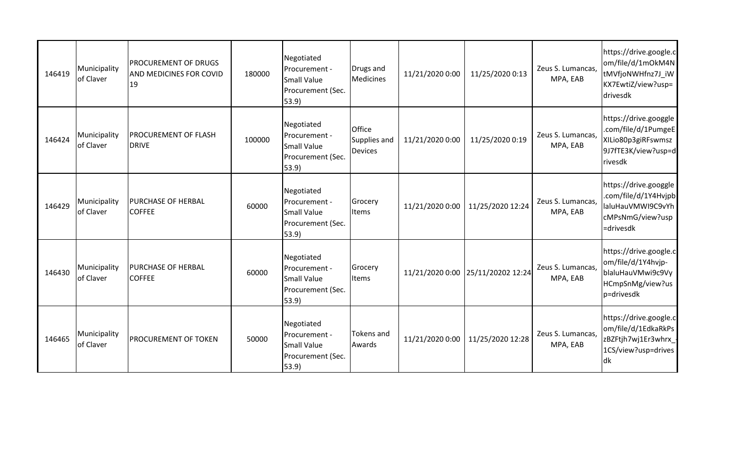| 146419 | Municipality<br>of Claver | PROCUREMENT OF DRUGS<br>AND MEDICINES FOR COVID<br>19 | 180000 | Negotiated<br>Procurement -<br><b>Small Value</b><br>Procurement (Sec.<br>53.9           | Drugs and<br><b>Medicines</b>            | 11/21/2020 0:00 | 11/25/2020 0:13                   | Zeus S. Lumancas,<br>MPA, EAB | https://drive.google.c<br>om/file/d/1mOkM4N<br>tMVfjoNWHfnz7J_iW<br>KX7EwtiZ/view?usp=<br>drivesdk   |
|--------|---------------------------|-------------------------------------------------------|--------|------------------------------------------------------------------------------------------|------------------------------------------|-----------------|-----------------------------------|-------------------------------|------------------------------------------------------------------------------------------------------|
| 146424 | Municipality<br>of Claver | <b>PROCUREMENT OF FLASH</b><br><b>DRIVE</b>           | 100000 | Negotiated<br>Procurement -<br><b>Small Value</b><br>Procurement (Sec.<br>53.9           | Office<br>Supplies and<br><b>Devices</b> | 11/21/2020 0:00 | 11/25/2020 0:19                   | Zeus S. Lumancas,<br>MPA, EAB | https://drive.googgle<br>.com/file/d/1PumgeE<br>XILio80p3giRFswmsz<br>9J7fTE3K/view?usp=d<br>rivesdk |
| 146429 | Municipality<br>of Claver | PURCHASE OF HERBAL<br><b>COFFEE</b>                   | 60000  | Negotiated<br>Procurement -<br><b>Small Value</b><br>Procurement (Sec.<br>53.9           | Grocery<br><b>Items</b>                  | 11/21/2020 0:00 | 11/25/2020 12:24                  | Zeus S. Lumancas,<br>MPA, EAB | https://drive.googgle<br>.com/file/d/1Y4Hvjpb<br>laluHauVMWI9C9vYh<br>cMPsNmG/view?usp<br>=drivesdk  |
| 146430 | Municipality<br>of Claver | PURCHASE OF HERBAL<br><b>COFFEE</b>                   | 60000  | Negotiated<br>Procurement -<br>Small Value<br>Procurement (Sec.<br>53.9                  | Grocery<br><b>Items</b>                  |                 | 11/21/2020 0:00 25/11/20202 12:24 | Zeus S. Lumancas,<br>MPA, EAB | https://drive.google.cl<br>om/file/d/1Y4hvjp-<br>blaluHauVMwi9c9Vy<br>HCmpSnMg/view?us<br>p=drivesdk |
| 146465 | Municipality<br>of Claver | <b>PROCUREMENT OF TOKEN</b>                           | 50000  | Negotiated<br>Procurement -<br><b>Small Value</b><br>Procurement (Sec.<br>$ 53.9\rangle$ | <b>Tokens</b> and<br>Awards              | 11/21/2020 0:00 | 11/25/2020 12:28                  | Zeus S. Lumancas,<br>MPA, EAB | https://drive.google.c<br>om/file/d/1EdkaRkPs<br>zBZFtjh7wj1Er3whrx<br>1CS/view?usp=drives<br>ldk    |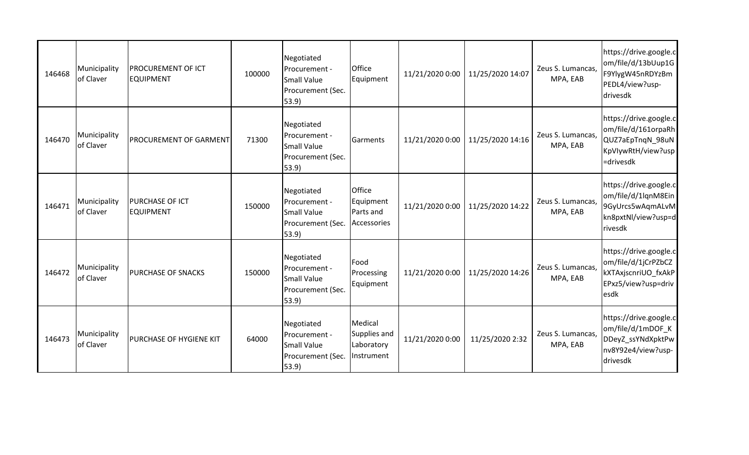| 146468 | Municipality<br>of Claver | PROCUREMENT OF ICT<br><b>EQUIPMENT</b> | 100000 | Negotiated<br>Procurement -<br><b>Small Value</b><br>Procurement (Sec.<br>53.9          | Office<br>Equipment                                 | 11/21/2020 0:00 | 11/25/2020 14:07 | Zeus S. Lumancas,<br>MPA, EAB | https://drive.google.c<br>om/file/d/13bUup1G<br>F9YlygW45nRDYzBm<br>PEDL4/view?usp-<br>drivesdk      |
|--------|---------------------------|----------------------------------------|--------|-----------------------------------------------------------------------------------------|-----------------------------------------------------|-----------------|------------------|-------------------------------|------------------------------------------------------------------------------------------------------|
| 146470 | Municipality<br>of Claver | <b>PROCUREMENT OF GARMENT</b>          | 71300  | Negotiated<br><b>I</b> Procurement -<br><b>Small Value</b><br>Procurement (Sec.<br>53.9 | Garments                                            | 11/21/2020 0:00 | 11/25/2020 14:16 | Zeus S. Lumancas,<br>MPA, EAB | https://drive.google.c<br>om/file/d/161orpaRh<br>QUZ7aEpTnqN_98uN<br>KpVlywRtH/view?usp<br>=drivesdk |
| 146471 | Municipality<br>of Claver | PURCHASE OF ICT<br><b>EQUIPMENT</b>    | 150000 | Negotiated<br>Procurement -<br><b>Small Value</b><br>Procurement (Sec.<br>53.9          | Office<br>Equipment<br>Parts and<br>Accessories     | 11/21/2020 0:00 | 11/25/2020 14:22 | Zeus S. Lumancas,<br>MPA, EAB | https://drive.google.c<br>om/file/d/1lqnM8Ein<br>9GyUrcs5wAqmALvM<br>kn8pxtNl/view?usp=d<br>rivesdk  |
| 146472 | Municipality<br>of Claver | PURCHASE OF SNACKS                     | 150000 | Negotiated<br>Procurement -<br>Small Value<br>Procurement (Sec.<br>53.9                 | Food<br>Processing<br>Equipment                     | 11/21/2020 0:00 | 11/25/2020 14:26 | Zeus S. Lumancas,<br>MPA, EAB | https://drive.google.c<br>om/file/d/1jCrPZbCZ<br>kXTAxjscnriUO_fxAkP<br>EPxz5/view?usp=driv<br>esdk  |
| 146473 | Municipality<br>of Claver | PURCHASE OF HYGIENE KIT                | 64000  | Negotiated<br>Procurement -<br>Small Value<br>Procurement (Sec.<br>$ 53.9\rangle$       | Medical<br>Supplies and<br>Laboratory<br>Instrument | 11/21/2020 0:00 | 11/25/2020 2:32  | Zeus S. Lumancas,<br>MPA, EAB | https://drive.google.c<br>om/file/d/1mDOF_K<br>DDeyZ_ssYNdXpktPw<br>nv8Y92e4/view?usp-<br>drivesdk   |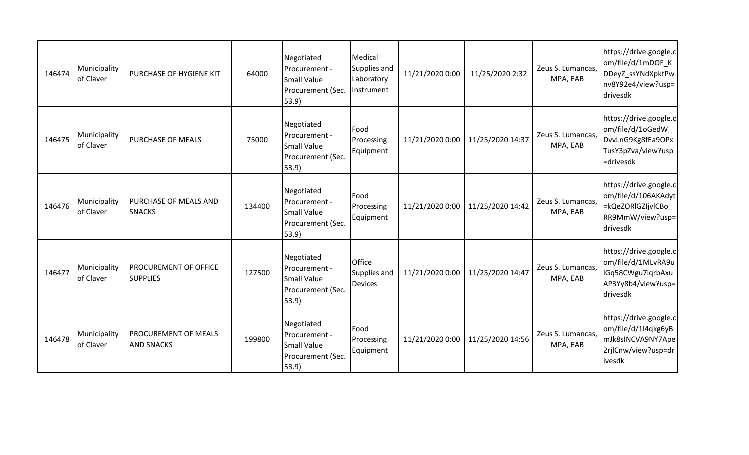| 146474 | Municipality<br>of Claver | PURCHASE OF HYGIENE KIT                          | 64000  | Negotiated<br>Procurement -<br><b>Small Value</b><br>Procurement (Sec.<br>53.9    | Medical<br>Supplies and<br>Laboratory<br>Instrument | 11/21/2020 0:00 | 11/25/2020 2:32  | Zeus S. Lumancas,<br>MPA, EAB | https://drive.google.c<br>om/file/d/1mDOF_K<br>DDeyZ_ssYNdXpktPw<br>nv8Y92e4/view?usp=<br>drivesdk   |
|--------|---------------------------|--------------------------------------------------|--------|-----------------------------------------------------------------------------------|-----------------------------------------------------|-----------------|------------------|-------------------------------|------------------------------------------------------------------------------------------------------|
| 146475 | Municipality<br>of Claver | <b>PURCHASE OF MEALS</b>                         | 75000  | Negotiated<br>Procurement -<br><b>Small Value</b><br>Procurement (Sec.<br>(53.9)  | Food<br>Processing<br>Equipment                     | 11/21/2020 0:00 | 11/25/2020 14:37 | Zeus S. Lumancas,<br>MPA, EAB | https://drive.google.c<br>om/file/d/1oGedW_<br>DvvLnG9Kg8fEa9OPx<br>TusY3pZva/view?usp<br>=drivesdk  |
| 146476 | Municipality<br>of Claver | PURCHASE OF MEALS AND<br><b>SNACKS</b>           | 134400 | Negotiated<br>Procurement -<br><b>Small Value</b><br>Procurement (Sec.<br>53.9    | Food<br>Processing<br>Equipment                     | 11/21/2020 0:00 | 11/25/2020 14:42 | Zeus S. Lumancas,<br>MPA, EAB | https://drive.google.c<br>om/file/d/106AKAdyt<br>=kQeZORIGZIjvICBo_<br>RR9MmW/view?usp=<br>drivesdk  |
| 146477 | Municipality<br>of Claver | <b>PROCUREMENT OF OFFICE</b><br><b>SUPPLIES</b>  | 127500 | Negotiated<br>Procurement -<br>Small Value<br>Procurement (Sec.<br>53.9)          | Office<br>Supplies and<br><b>Devices</b>            | 11/21/2020 0:00 | 11/25/2020 14:47 | Zeus S. Lumancas,<br>MPA, EAB | https://drive.google.cl<br>om/file/d/1MLvRA9u<br>IGq58CWgu7iqrbAxu<br>AP3Yy8b4/view?usp=<br>drivesdk |
| 146478 | Municipality<br>of Claver | <b>PROCUREMENT OF MEALS</b><br><b>AND SNACKS</b> | 199800 | Negotiated<br>Procurement -<br>Small Value<br>Procurement (Sec.<br>$ 53.9\rangle$ | Food<br>Processing<br>Equipment                     | 11/21/2020 0:00 | 11/25/2020 14:56 | Zeus S. Lumancas,<br>MPA, EAB | https://drive.google.c<br>om/file/d/1l4qkg6yB<br>mJk8sINCVA9NY7Ape<br>2rilCnw/view?usp=dr<br>ivesdk  |